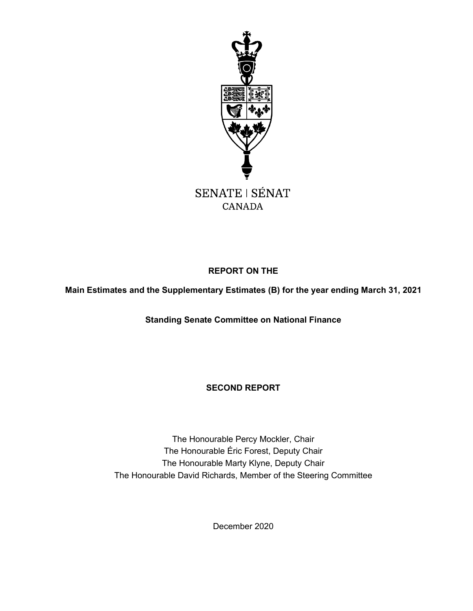

# **REPORT ON THE**

**Main Estimates and the Supplementary Estimates (B) for the year ending March 31, 2021**

**Standing Senate Committee on National Finance**

# **SECOND REPORT**

The Honourable Percy Mockler, Chair The Honourable Éric Forest, Deputy Chair The Honourable Marty Klyne, Deputy Chair The Honourable David Richards, Member of the Steering Committee

December 2020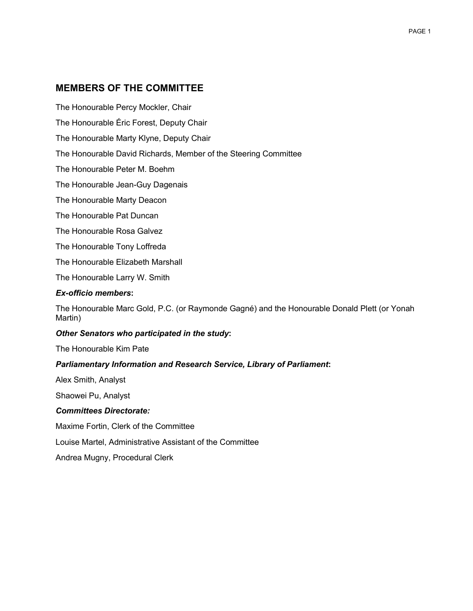# <span id="page-1-0"></span>**MEMBERS OF THE COMMITTEE**

The Honourable Percy Mockler, Chair

The Honourable Éric Forest, Deputy Chair

The Honourable Marty Klyne, Deputy Chair

The Honourable David Richards, Member of the Steering Committee

The Honourable Peter M. Boehm

The Honourable Jean-Guy Dagenais

The Honourable Marty Deacon

The Honourable Pat Duncan

The Honourable Rosa Galvez

The Honourable Tony Loffreda

The Honourable Elizabeth Marshall

The Honourable Larry W. Smith

#### *Ex-officio members***:**

The Honourable Marc Gold, P.C. (or Raymonde Gagné) and the Honourable Donald Plett (or Yonah Martin)

#### *Other Senators who participated in the study***:**

The Honourable Kim Pate

#### *Parliamentary Information and Research Service, Library of Parliament***:**

Alex Smith, Analyst

Shaowei Pu, Analyst

#### *Committees Directorate:*

Maxime Fortin, Clerk of the Committee

Louise Martel, Administrative Assistant of the Committee

Andrea Mugny, Procedural Clerk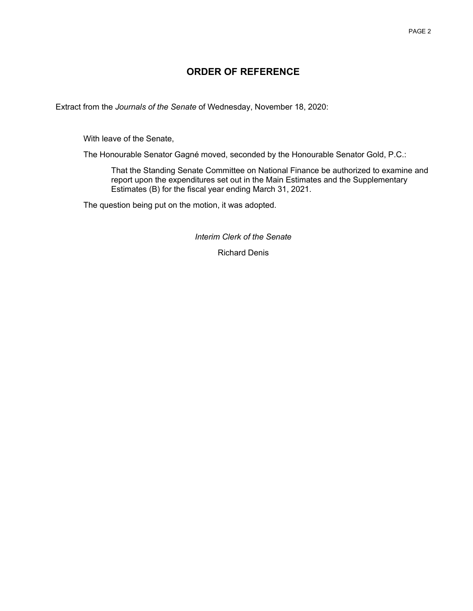# **ORDER OF REFERENCE**

<span id="page-2-0"></span>Extract from the *Journals of the Senate* of Wednesday, November 18, 2020:

With leave of the Senate,

The Honourable Senator Gagné moved, seconded by the Honourable Senator Gold, P.C.:

That the Standing Senate Committee on National Finance be authorized to examine and report upon the expenditures set out in the Main Estimates and the Supplementary Estimates (B) for the fiscal year ending March 31, 2021.

The question being put on the motion, it was adopted.

*Interim Clerk of the Senate*

Richard Denis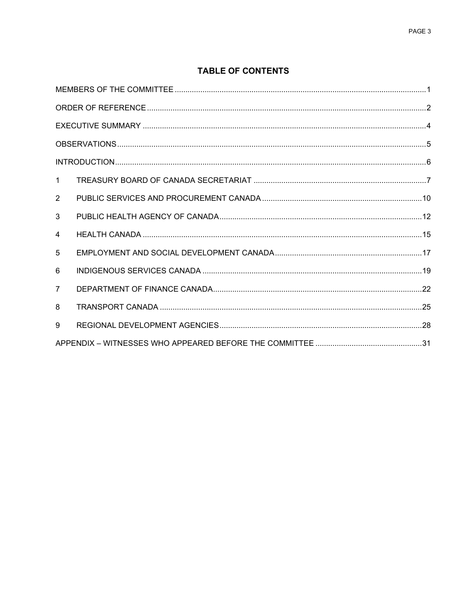## **TABLE OF CONTENTS**

| $\mathbf{1}$   |  |
|----------------|--|
| $\overline{2}$ |  |
| 3              |  |
| 4              |  |
| 5              |  |
| 6              |  |
| $\overline{7}$ |  |
| 8              |  |
| 9              |  |
|                |  |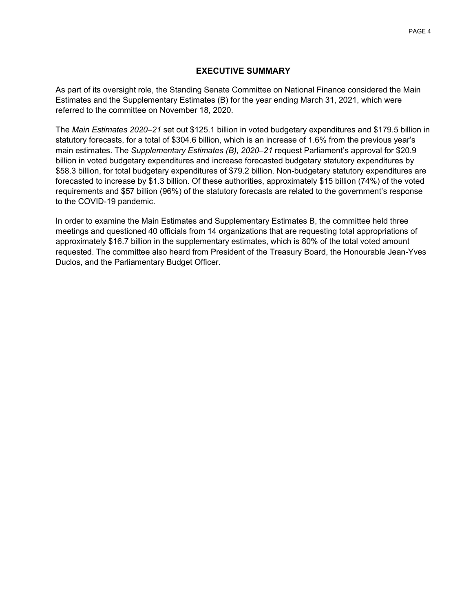#### **EXECUTIVE SUMMARY**

<span id="page-4-0"></span>As part of its oversight role, the Standing Senate Committee on National Finance considered the Main Estimates and the Supplementary Estimates (B) for the year ending March 31, 2021, which were referred to the committee on November 18, 2020.

The *Main Estimates 2020–21* set out \$125.1 billion in voted budgetary expenditures and \$179.5 billion in statutory forecasts, for a total of \$304.6 billion, which is an increase of 1.6% from the previous year's main estimates. The *Supplementary Estimates (B), 2020–21* request Parliament's approval for \$20.9 billion in voted budgetary expenditures and increase forecasted budgetary statutory expenditures by \$58.3 billion, for total budgetary expenditures of \$79.2 billion. Non-budgetary statutory expenditures are forecasted to increase by \$1.3 billion. Of these authorities, approximately \$15 billion (74%) of the voted requirements and \$57 billion (96%) of the statutory forecasts are related to the government's response to the COVID-19 pandemic.

In order to examine the Main Estimates and Supplementary Estimates B, the committee held three meetings and questioned 40 officials from 14 organizations that are requesting total appropriations of approximately \$16.7 billion in the supplementary estimates, which is 80% of the total voted amount requested. The committee also heard from President of the Treasury Board, the Honourable Jean-Yves Duclos, and the Parliamentary Budget Officer.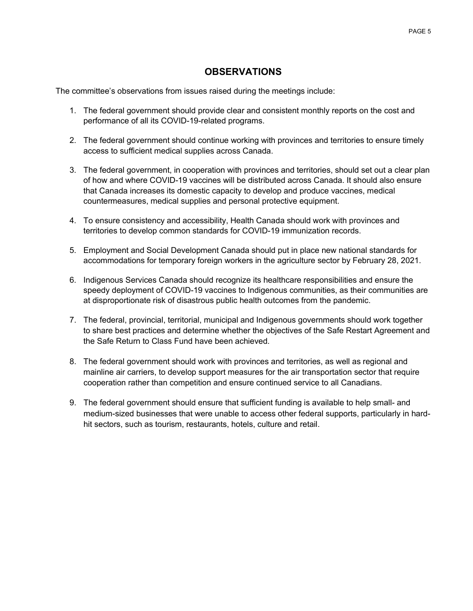# **OBSERVATIONS**

<span id="page-5-0"></span>The committee's observations from issues raised during the meetings include:

- 1. The federal government should provide clear and consistent monthly reports on the cost and performance of all its COVID-19-related programs.
- 2. The federal government should continue working with provinces and territories to ensure timely access to sufficient medical supplies across Canada.
- 3. The federal government, in cooperation with provinces and territories, should set out a clear plan of how and where COVID-19 vaccines will be distributed across Canada. It should also ensure that Canada increases its domestic capacity to develop and produce vaccines, medical countermeasures, medical supplies and personal protective equipment.
- 4. To ensure consistency and accessibility, Health Canada should work with provinces and territories to develop common standards for COVID-19 immunization records.
- 5. Employment and Social Development Canada should put in place new national standards for accommodations for temporary foreign workers in the agriculture sector by February 28, 2021.
- 6. Indigenous Services Canada should recognize its healthcare responsibilities and ensure the speedy deployment of COVID-19 vaccines to Indigenous communities, as their communities are at disproportionate risk of disastrous public health outcomes from the pandemic.
- 7. The federal, provincial, territorial, municipal and Indigenous governments should work together to share best practices and determine whether the objectives of the Safe Restart Agreement and the Safe Return to Class Fund have been achieved.
- 8. The federal government should work with provinces and territories, as well as regional and mainline air carriers, to develop support measures for the air transportation sector that require cooperation rather than competition and ensure continued service to all Canadians.
- 9. The federal government should ensure that sufficient funding is available to help small- and medium-sized businesses that were unable to access other federal supports, particularly in hardhit sectors, such as tourism, restaurants, hotels, culture and retail.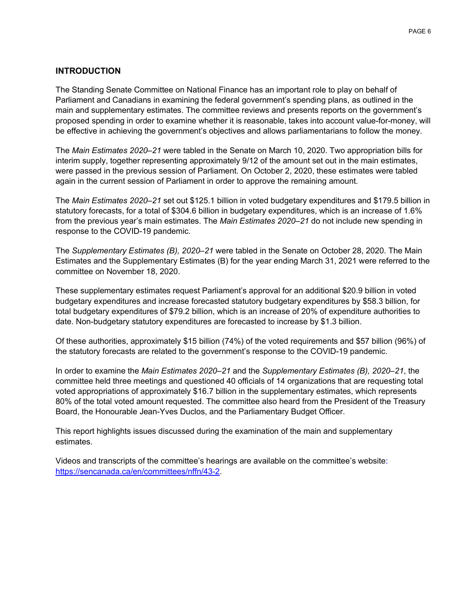#### <span id="page-6-0"></span>**INTRODUCTION**

The Standing Senate Committee on National Finance has an important role to play on behalf of Parliament and Canadians in examining the federal government's spending plans, as outlined in the main and supplementary estimates. The committee reviews and presents reports on the government's proposed spending in order to examine whether it is reasonable, takes into account value-for-money, will be effective in achieving the government's objectives and allows parliamentarians to follow the money.

The *Main Estimates 2020–21* were tabled in the Senate on March 10, 2020. Two appropriation bills for interim supply, together representing approximately 9/12 of the amount set out in the main estimates, were passed in the previous session of Parliament. On October 2, 2020, these estimates were tabled again in the current session of Parliament in order to approve the remaining amount.

The *Main Estimates 2020–21* set out \$125.1 billion in voted budgetary expenditures and \$179.5 billion in statutory forecasts, for a total of \$304.6 billion in budgetary expenditures, which is an increase of 1.6% from the previous year's main estimates. The *Main Estimates 2020–21* do not include new spending in response to the COVID-19 pandemic.

The *Supplementary Estimates (B), 2020–21* were tabled in the Senate on October 28, 2020. The Main Estimates and the Supplementary Estimates (B) for the year ending March 31, 2021 were referred to the committee on November 18, 2020.

These supplementary estimates request Parliament's approval for an additional \$20.9 billion in voted budgetary expenditures and increase forecasted statutory budgetary expenditures by \$58.3 billion, for total budgetary expenditures of \$79.2 billion, which is an increase of 20% of expenditure authorities to date. Non-budgetary statutory expenditures are forecasted to increase by \$1.3 billion.

Of these authorities, approximately \$15 billion (74%) of the voted requirements and \$57 billion (96%) of the statutory forecasts are related to the government's response to the COVID-19 pandemic.

In order to examine the *Main Estimates 2020–21* and the *Supplementary Estimates (B), 2020–21*, the committee held three meetings and questioned 40 officials of 14 organizations that are requesting total voted appropriations of approximately \$16.7 billion in the supplementary estimates, which represents 80% of the total voted amount requested. The committee also heard from the President of the Treasury Board, the Honourable Jean-Yves Duclos, and the Parliamentary Budget Officer.

This report highlights issues discussed during the examination of the main and supplementary estimates.

Videos and transcripts of the committee's hearings are available on the committee's website: https://sencanada.ca/en/committees/nffn/43-2.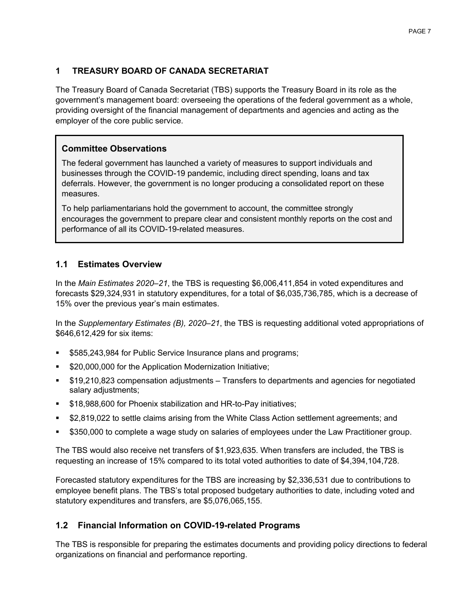### <span id="page-7-0"></span>**1 TREASURY BOARD OF CANADA SECRETARIAT**

The Treasury Board of Canada Secretariat (TBS) supports the Treasury Board in its role as the government's management board: overseeing the operations of the federal government as a whole, providing oversight of the financial management of departments and agencies and acting as the employer of the core public service.

## **Committee Observations**

The federal government has launched a variety of measures to support individuals and businesses through the COVID-19 pandemic, including direct spending, loans and tax deferrals. However, the government is no longer producing a consolidated report on these measures.

To help parliamentarians hold the government to account, the committee strongly encourages the government to prepare clear and consistent monthly reports on the cost and performance of all its COVID-19-related measures.

### **1.1 Estimates Overview**

In the *Main Estimates 2020–21*, the TBS is requesting \$6,006,411,854 in voted expenditures and forecasts \$29,324,931 in statutory expenditures, for a total of \$6,035,736,785, which is a decrease of 15% over the previous year's main estimates.

In the *Supplementary Estimates (B), 2020–21*, the TBS is requesting additional voted appropriations of \$646,612,429 for six items:

- \$585,243,984 for Public Service Insurance plans and programs;
- \$20,000,000 for the Application Modernization Initiative;
- \$19,210,823 compensation adjustments Transfers to departments and agencies for negotiated salary adjustments;
- \$18,988,600 for Phoenix stabilization and HR-to-Pay initiatives;
- \$2,819,022 to settle claims arising from the White Class Action settlement agreements; and
- \$350,000 to complete a wage study on salaries of employees under the Law Practitioner group.

The TBS would also receive net transfers of \$1,923,635. When transfers are included, the TBS is requesting an increase of 15% compared to its total voted authorities to date of \$4,394,104,728.

Forecasted statutory expenditures for the TBS are increasing by \$2,336,531 due to contributions to employee benefit plans. The TBS's total proposed budgetary authorities to date, including voted and statutory expenditures and transfers, are \$5,076,065,155.

# **1.2 Financial Information on COVID-19-related Programs**

The TBS is responsible for preparing the estimates documents and providing policy directions to federal organizations on financial and performance reporting.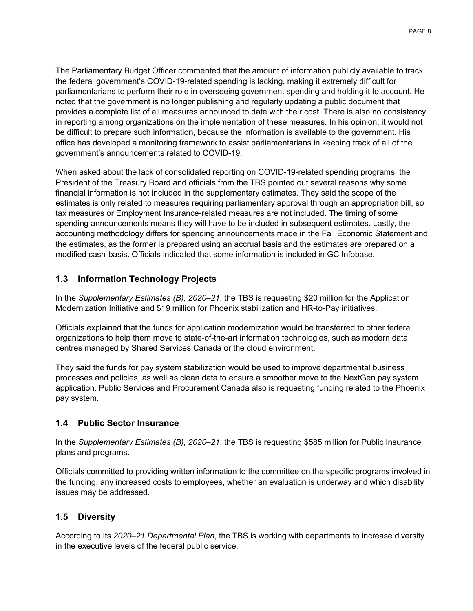The Parliamentary Budget Officer commented that the amount of information publicly available to track the federal government's COVID-19-related spending is lacking, making it extremely difficult for parliamentarians to perform their role in overseeing government spending and holding it to account. He noted that the government is no longer publishing and regularly updating a public document that provides a complete list of all measures announced to date with their cost. There is also no consistency in reporting among organizations on the implementation of these measures. In his opinion, it would not be difficult to prepare such information, because the information is available to the government. His office has developed a monitoring framework to assist parliamentarians in keeping track of all of the government's announcements related to COVID-19.

When asked about the lack of consolidated reporting on COVID-19-related spending programs, the President of the Treasury Board and officials from the TBS pointed out several reasons why some financial information is not included in the supplementary estimates. They said the scope of the estimates is only related to measures requiring parliamentary approval through an appropriation bill, so tax measures or Employment Insurance-related measures are not included. The timing of some spending announcements means they will have to be included in subsequent estimates. Lastly, the accounting methodology differs for spending announcements made in the Fall Economic Statement and the estimates, as the former is prepared using an accrual basis and the estimates are prepared on a modified cash-basis. Officials indicated that some information is included in GC Infobase.

# **1.3 Information Technology Projects**

In the *Supplementary Estimates (B), 2020–21*, the TBS is requesting \$20 million for the Application Modernization Initiative and \$19 million for Phoenix stabilization and HR-to-Pay initiatives.

Officials explained that the funds for application modernization would be transferred to other federal organizations to help them move to state-of-the-art information technologies, such as modern data centres managed by Shared Services Canada or the cloud environment.

They said the funds for pay system stabilization would be used to improve departmental business processes and policies, as well as clean data to ensure a smoother move to the NextGen pay system application. Public Services and Procurement Canada also is requesting funding related to the Phoenix pay system.

# **1.4 Public Sector Insurance**

In the *Supplementary Estimates (B), 2020–21*, the TBS is requesting \$585 million for Public Insurance plans and programs.

Officials committed to providing written information to the committee on the specific programs involved in the funding, any increased costs to employees, whether an evaluation is underway and which disability issues may be addressed.

# **1.5 Diversity**

According to its *2020–21 Departmental Plan*, the TBS is working with departments to increase diversity in the executive levels of the federal public service.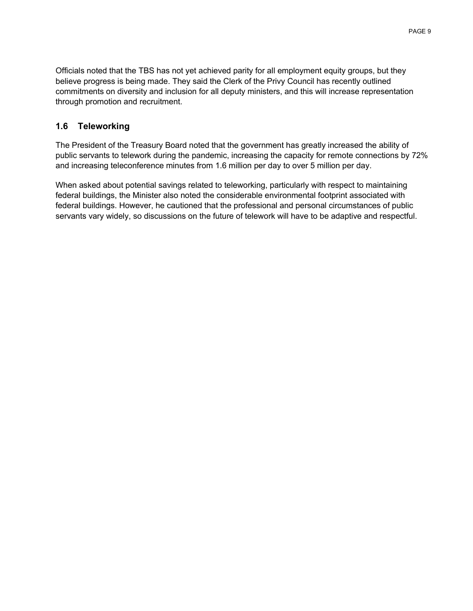Officials noted that the TBS has not yet achieved parity for all employment equity groups, but they believe progress is being made. They said the Clerk of the Privy Council has recently outlined commitments on diversity and inclusion for all deputy ministers, and this will increase representation through promotion and recruitment.

### **1.6 Teleworking**

The President of the Treasury Board noted that the government has greatly increased the ability of public servants to telework during the pandemic, increasing the capacity for remote connections by 72% and increasing teleconference minutes from 1.6 million per day to over 5 million per day.

<span id="page-9-0"></span>When asked about potential savings related to teleworking, particularly with respect to maintaining federal buildings, the Minister also noted the considerable environmental footprint associated with federal buildings. However, he cautioned that the professional and personal circumstances of public servants vary widely, so discussions on the future of telework will have to be adaptive and respectful.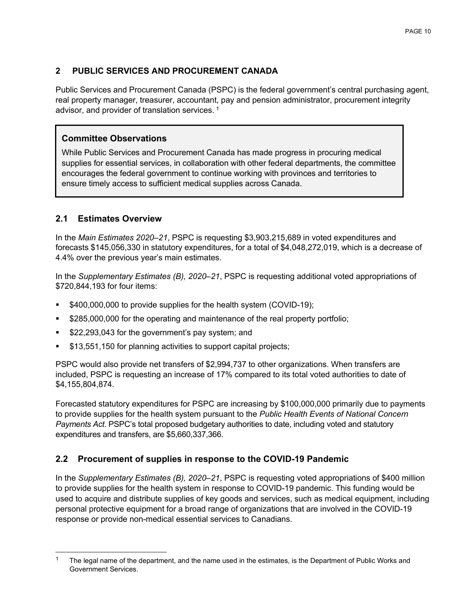# **2 PUBLIC SERVICES AND PROCUREMENT CANADA**

Public Services and Procurement Canada (PSPC) is the federal government's central purchasing agent, real property manager, treasurer, accountant, pay and pension administrator, procurement integrity advisor, and provider of translation services. [1](#page-10-0)

# **Committee Observations**

While Public Services and Procurement Canada has made progress in procuring medical supplies for essential services, in collaboration with other federal departments, the committee encourages the federal government to continue working with provinces and territories to ensure timely access to sufficient medical supplies across Canada.

# **2.1 Estimates Overview**

In the *Main Estimates 2020–21*, PSPC is requesting \$3,903,215,689 in voted expenditures and forecasts \$145,056,330 in statutory expenditures, for a total of \$4,048,272,019, which is a decrease of 4.4% over the previous year's main estimates.

In the *Supplementary Estimates (B), 2020–21*, PSPC is requesting additional voted appropriations of \$720,844,193 for four items:

- \$400,000,000 to provide supplies for the health system (COVID-19);
- \$285,000,000 for the operating and maintenance of the real property portfolio;
- **522,293,043 for the government's pay system; and**
- \$13,551,150 for planning activities to support capital projects;

PSPC would also provide net transfers of \$2,994,737 to other organizations. When transfers are included, PSPC is requesting an increase of 17% compared to its total voted authorities to date of \$4,155,804,874.

Forecasted statutory expenditures for PSPC are increasing by \$100,000,000 primarily due to payments to provide supplies for the health system pursuant to the *Public Health Events of National Concern Payments Act*. PSPC's total proposed budgetary authorities to date, including voted and statutory expenditures and transfers, are \$5,660,337,366.

# **2.2 Procurement of supplies in response to the COVID-19 Pandemic**

In the *Supplementary Estimates (B), 2020–21*, PSPC is requesting voted appropriations of \$400 million to provide supplies for the health system in response to COVID-19 pandemic. This funding would be used to acquire and distribute supplies of key goods and services, such as medical equipment, including personal protective equipment for a broad range of organizations that are involved in the COVID-19 response or provide non-medical essential services to Canadians.

<span id="page-10-0"></span>The legal name of the department, and the name used in the estimates, is the Department of Public Works and Government Services.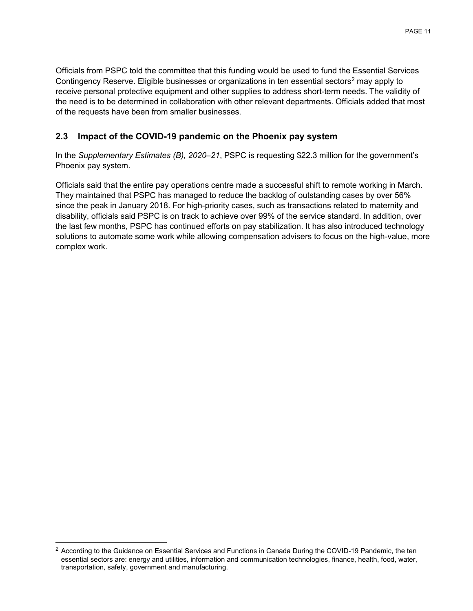Officials from PSPC told the committee that this funding would be used to fund the Essential Services Contingency Reserve. Eligible businesses or organizations in ten essential sectors<sup>[2](#page-11-1)</sup> may apply to receive personal protective equipment and other supplies to address short-term needs. The validity of the need is to be determined in collaboration with other relevant departments. Officials added that most of the requests have been from smaller businesses.

# **2.3 Impact of the COVID-19 pandemic on the Phoenix pay system**

In the *Supplementary Estimates (B), 2020–21*, PSPC is requesting \$22.3 million for the government's Phoenix pay system.

<span id="page-11-0"></span>Officials said that the entire pay operations centre made a successful shift to remote working in March. They maintained that PSPC has managed to reduce the backlog of outstanding cases by over 56% since the peak in January 2018. For high-priority cases, such as transactions related to maternity and disability, officials said PSPC is on track to achieve over 99% of the service standard. In addition, over the last few months, PSPC has continued efforts on pay stabilization. It has also introduced technology solutions to automate some work while allowing compensation advisers to focus on the high-value, more complex work.

<span id="page-11-1"></span><sup>&</sup>lt;sup>2</sup> According to the Guidance on Essential Services and Functions in Canada During the COVID-19 Pandemic, the ten essential sectors are: energy and utilities, information and communication technologies, finance, health, food, water, transportation, safety, government and manufacturing.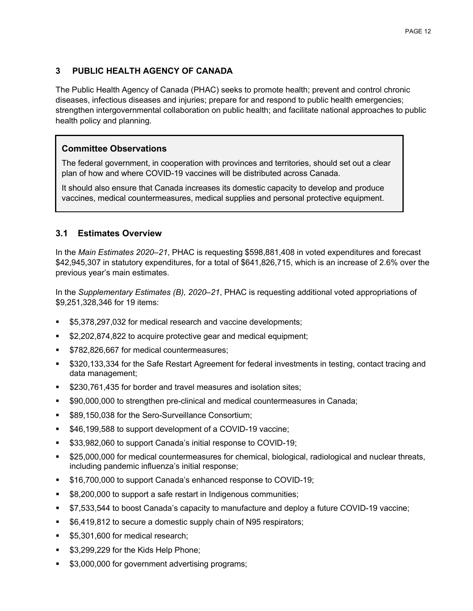# **3 PUBLIC HEALTH AGENCY OF CANADA**

The Public Health Agency of Canada (PHAC) seeks to promote health; prevent and control chronic diseases, infectious diseases and injuries; prepare for and respond to public health emergencies; strengthen intergovernmental collaboration on public health; and facilitate national approaches to public health policy and planning.

### **Committee Observations**

The federal government, in cooperation with provinces and territories, should set out a clear plan of how and where COVID-19 vaccines will be distributed across Canada.

It should also ensure that Canada increases its domestic capacity to develop and produce vaccines, medical countermeasures, medical supplies and personal protective equipment.

### **3.1 Estimates Overview**

In the *Main Estimates 2020–21*, PHAC is requesting \$598,881,408 in voted expenditures and forecast \$42,945,307 in statutory expenditures, for a total of \$641,826,715, which is an increase of 2.6% over the previous year's main estimates.

In the *Supplementary Estimates (B), 2020–21*, PHAC is requesting additional voted appropriations of \$9,251,328,346 for 19 items:

- \$5,378,297,032 for medical research and vaccine developments;
- \$2,202,874,822 to acquire protective gear and medical equipment;
- **\$782,826,667 for medical countermeasures;**
- \$320,133,334 for the Safe Restart Agreement for federal investments in testing, contact tracing and data management;
- \$230,761,435 for border and travel measures and isolation sites;
- \$90,000,000 to strengthen pre-clinical and medical countermeasures in Canada;
- **S89,150,038 for the Sero-Surveillance Consortium;**
- **546,199,588 to support development of a COVID-19 vaccine;**
- **533,982,060 to support Canada's initial response to COVID-19;**
- \$25,000,000 for medical countermeasures for chemical, biological, radiological and nuclear threats, including pandemic influenza's initial response;
- **\$16,700,000 to support Canada's enhanced response to COVID-19;**
- \$8,200,000 to support a safe restart in Indigenous communities;
- \$7,533,544 to boost Canada's capacity to manufacture and deploy a future COVID-19 vaccine;
- \$6,419,812 to secure a domestic supply chain of N95 respirators;
- \$5,301,600 for medical research;
- **53,299,229 for the Kids Help Phone;**
- \$3,000,000 for government advertising programs;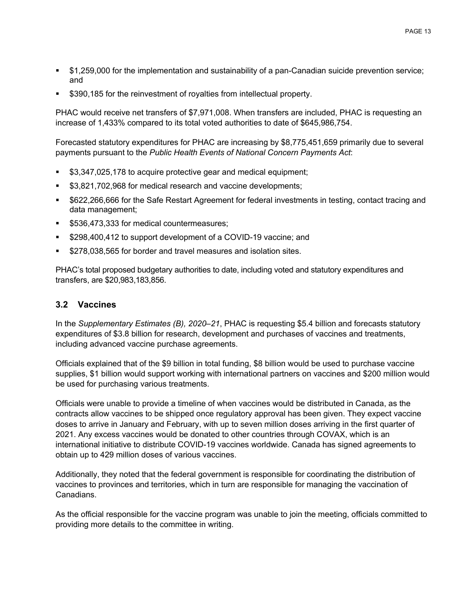- \$1,259,000 for the implementation and sustainability of a pan-Canadian suicide prevention service; and
- **5390,185 for the reinvestment of royalties from intellectual property.**

PHAC would receive net transfers of \$7,971,008. When transfers are included, PHAC is requesting an increase of 1,433% compared to its total voted authorities to date of \$645,986,754.

Forecasted statutory expenditures for PHAC are increasing by \$8,775,451,659 primarily due to several payments pursuant to the *Public Health Events of National Concern Payments Act*:

- \$3,347,025,178 to acquire protective gear and medical equipment;
- \$3,821,702,968 for medical research and vaccine developments;
- \$622,266,666 for the Safe Restart Agreement for federal investments in testing, contact tracing and data management;
- **\$536,473,333 for medical countermeasures;**
- \$298,400,412 to support development of a COVID-19 vaccine; and
- \$278,038,565 for border and travel measures and isolation sites.

PHAC's total proposed budgetary authorities to date, including voted and statutory expenditures and transfers, are \$20,983,183,856.

#### **3.2 Vaccines**

In the *Supplementary Estimates (B), 2020–21*, PHAC is requesting \$5.4 billion and forecasts statutory expenditures of \$3.8 billion for research, development and purchases of vaccines and treatments, including advanced vaccine purchase agreements.

Officials explained that of the \$9 billion in total funding, \$8 billion would be used to purchase vaccine supplies, \$1 billion would support working with international partners on vaccines and \$200 million would be used for purchasing various treatments.

Officials were unable to provide a timeline of when vaccines would be distributed in Canada, as the contracts allow vaccines to be shipped once regulatory approval has been given. They expect vaccine doses to arrive in January and February, with up to seven million doses arriving in the first quarter of 2021. Any excess vaccines would be donated to other countries through COVAX, which is an international initiative to distribute COVID-19 vaccines worldwide. Canada has signed agreements to obtain up to 429 million doses of various vaccines.

Additionally, they noted that the federal government is responsible for coordinating the distribution of vaccines to provinces and territories, which in turn are responsible for managing the vaccination of Canadians.

As the official responsible for the vaccine program was unable to join the meeting, officials committed to providing more details to the committee in writing.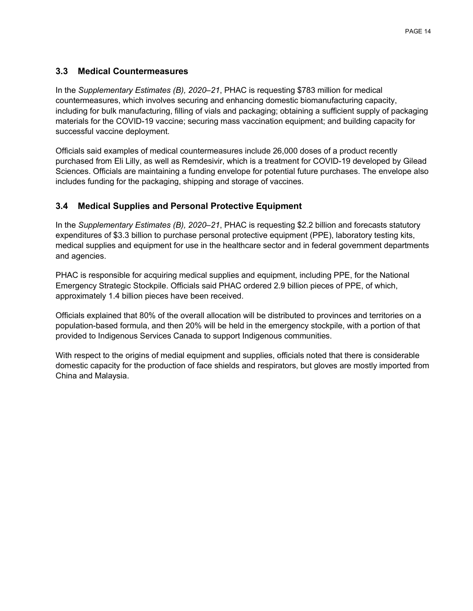#### **3.3 Medical Countermeasures**

In the *Supplementary Estimates (B), 2020–21*, PHAC is requesting \$783 million for medical countermeasures, which involves securing and enhancing domestic biomanufacturing capacity, including for bulk manufacturing, filling of vials and packaging; obtaining a sufficient supply of packaging materials for the COVID-19 vaccine; securing mass vaccination equipment; and building capacity for successful vaccine deployment.

Officials said examples of medical countermeasures include 26,000 doses of a product recently purchased from Eli Lilly, as well as Remdesivir, which is a treatment for COVID-19 developed by Gilead Sciences. Officials are maintaining a funding envelope for potential future purchases. The envelope also includes funding for the packaging, shipping and storage of vaccines.

### **3.4 Medical Supplies and Personal Protective Equipment**

In the *Supplementary Estimates (B), 2020–21*, PHAC is requesting \$2.2 billion and forecasts statutory expenditures of \$3.3 billion to purchase personal protective equipment (PPE), laboratory testing kits, medical supplies and equipment for use in the healthcare sector and in federal government departments and agencies.

PHAC is responsible for acquiring medical supplies and equipment, including PPE, for the National Emergency Strategic Stockpile. Officials said PHAC ordered 2.9 billion pieces of PPE, of which, approximately 1.4 billion pieces have been received.

Officials explained that 80% of the overall allocation will be distributed to provinces and territories on a population-based formula, and then 20% will be held in the emergency stockpile, with a portion of that provided to Indigenous Services Canada to support Indigenous communities.

<span id="page-14-0"></span>With respect to the origins of medial equipment and supplies, officials noted that there is considerable domestic capacity for the production of face shields and respirators, but gloves are mostly imported from China and Malaysia.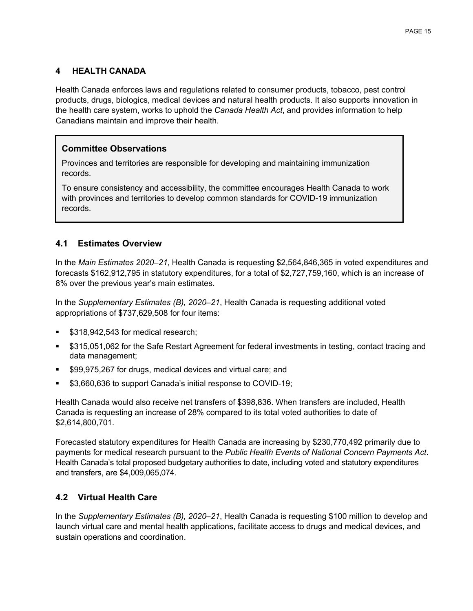### **4 HEALTH CANADA**

Health Canada enforces laws and regulations related to consumer products, tobacco, pest control products, drugs, biologics, medical devices and natural health products. It also supports innovation in the health care system, works to uphold the *Canada Health Act*, and provides information to help Canadians maintain and improve their health.

### **Committee Observations**

Provinces and territories are responsible for developing and maintaining immunization records.

To ensure consistency and accessibility, the committee encourages Health Canada to work with provinces and territories to develop common standards for COVID-19 immunization records.

### **4.1 Estimates Overview**

In the *Main Estimates 2020–21*, Health Canada is requesting \$2,564,846,365 in voted expenditures and forecasts \$162,912,795 in statutory expenditures, for a total of \$2,727,759,160, which is an increase of 8% over the previous year's main estimates.

In the *Supplementary Estimates (B), 2020–21*, Health Canada is requesting additional voted appropriations of \$737,629,508 for four items:

- \$318,942,543 for medical research;
- \$315,051,062 for the Safe Restart Agreement for federal investments in testing, contact tracing and data management;
- \$99,975,267 for drugs, medical devices and virtual care; and
- \$3,660,636 to support Canada's initial response to COVID-19;

Health Canada would also receive net transfers of \$398,836. When transfers are included, Health Canada is requesting an increase of 28% compared to its total voted authorities to date of \$2,614,800,701.

Forecasted statutory expenditures for Health Canada are increasing by \$230,770,492 primarily due to payments for medical research pursuant to the *Public Health Events of National Concern Payments Act*. Health Canada's total proposed budgetary authorities to date, including voted and statutory expenditures and transfers, are \$4,009,065,074.

# **4.2 Virtual Health Care**

In the *Supplementary Estimates (B), 2020–21*, Health Canada is requesting \$100 million to develop and launch virtual care and mental health applications, facilitate access to drugs and medical devices, and sustain operations and coordination.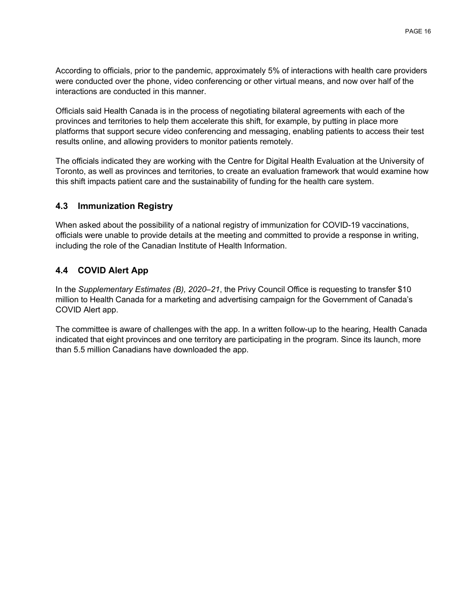According to officials, prior to the pandemic, approximately 5% of interactions with health care providers were conducted over the phone, video conferencing or other virtual means, and now over half of the interactions are conducted in this manner.

Officials said Health Canada is in the process of negotiating bilateral agreements with each of the provinces and territories to help them accelerate this shift, for example, by putting in place more platforms that support secure video conferencing and messaging, enabling patients to access their test results online, and allowing providers to monitor patients remotely.

The officials indicated they are working with the Centre for Digital Health Evaluation at the University of Toronto, as well as provinces and territories, to create an evaluation framework that would examine how this shift impacts patient care and the sustainability of funding for the health care system.

### **4.3 Immunization Registry**

When asked about the possibility of a national registry of immunization for COVID-19 vaccinations, officials were unable to provide details at the meeting and committed to provide a response in writing, including the role of the Canadian Institute of Health Information.

# **4.4 COVID Alert App**

In the *Supplementary Estimates (B), 2020–21*, the Privy Council Office is requesting to transfer \$10 million to Health Canada for a marketing and advertising campaign for the Government of Canada's COVID Alert app.

<span id="page-16-0"></span>The committee is aware of challenges with the app. In a written follow-up to the hearing, Health Canada indicated that eight provinces and one territory are participating in the program. Since its launch, more than 5.5 million Canadians have downloaded the app.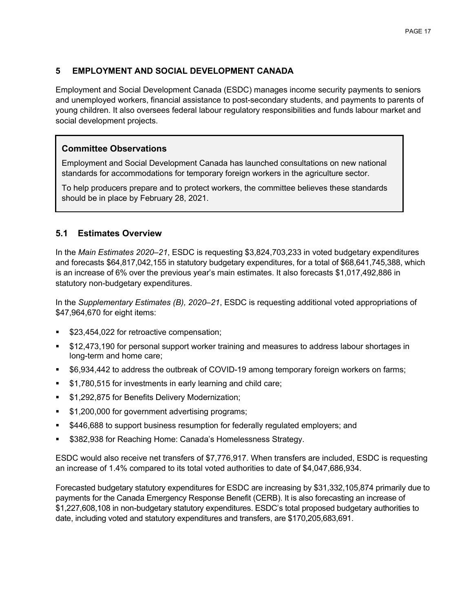### **5 EMPLOYMENT AND SOCIAL DEVELOPMENT CANADA**

Employment and Social Development Canada (ESDC) manages income security payments to seniors and unemployed workers, financial assistance to post-secondary students, and payments to parents of young children. It also oversees federal labour regulatory responsibilities and funds labour market and social development projects.

### **Committee Observations**

Employment and Social Development Canada has launched consultations on new national standards for accommodations for temporary foreign workers in the agriculture sector.

To help producers prepare and to protect workers, the committee believes these standards should be in place by February 28, 2021.

#### **5.1 Estimates Overview**

In the *Main Estimates 2020–21*, ESDC is requesting \$3,824,703,233 in voted budgetary expenditures and forecasts \$64,817,042,155 in statutory budgetary expenditures, for a total of \$68,641,745,388, which is an increase of 6% over the previous year's main estimates. It also forecasts \$1,017,492,886 in statutory non-budgetary expenditures.

In the *Supplementary Estimates (B), 2020–21*, ESDC is requesting additional voted appropriations of \$47,964,670 for eight items:

- \$23,454,022 for retroactive compensation;
- \$12,473,190 for personal support worker training and measures to address labour shortages in long-term and home care;
- \$6,934,442 to address the outbreak of COVID-19 among temporary foreign workers on farms;
- \$1,780,515 for investments in early learning and child care;
- \$1,292,875 for Benefits Delivery Modernization;
- \$1,200,000 for government advertising programs;
- \$446,688 to support business resumption for federally regulated employers; and
- **5382,938 for Reaching Home: Canada's Homelessness Strategy.**

ESDC would also receive net transfers of \$7,776,917. When transfers are included, ESDC is requesting an increase of 1.4% compared to its total voted authorities to date of \$4,047,686,934.

Forecasted budgetary statutory expenditures for ESDC are increasing by \$31,332,105,874 primarily due to payments for the Canada Emergency Response Benefit (CERB). It is also forecasting an increase of \$1,227,608,108 in non-budgetary statutory expenditures. ESDC's total proposed budgetary authorities to date, including voted and statutory expenditures and transfers, are \$170,205,683,691.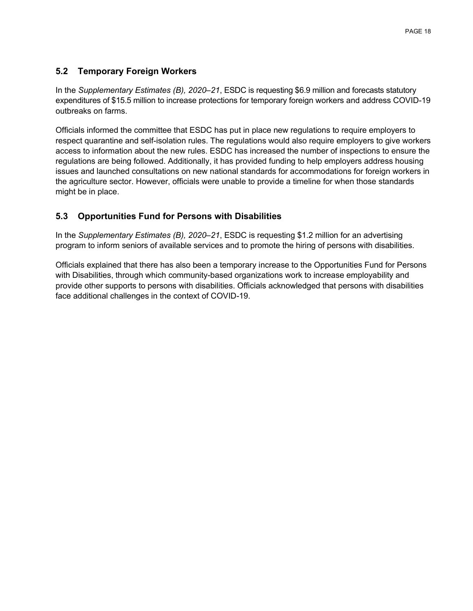## **5.2 Temporary Foreign Workers**

In the *Supplementary Estimates (B), 2020–21*, ESDC is requesting \$6.9 million and forecasts statutory expenditures of \$15.5 million to increase protections for temporary foreign workers and address COVID-19 outbreaks on farms.

Officials informed the committee that ESDC has put in place new regulations to require employers to respect quarantine and self-isolation rules. The regulations would also require employers to give workers access to information about the new rules. ESDC has increased the number of inspections to ensure the regulations are being followed. Additionally, it has provided funding to help employers address housing issues and launched consultations on new national standards for accommodations for foreign workers in the agriculture sector. However, officials were unable to provide a timeline for when those standards might be in place.

### **5.3 Opportunities Fund for Persons with Disabilities**

In the *Supplementary Estimates (B), 2020–21*, ESDC is requesting \$1.2 million for an advertising program to inform seniors of available services and to promote the hiring of persons with disabilities.

<span id="page-18-0"></span>Officials explained that there has also been a temporary increase to the Opportunities Fund for Persons with Disabilities, through which community-based organizations work to increase employability and provide other supports to persons with disabilities. Officials acknowledged that persons with disabilities face additional challenges in the context of COVID-19.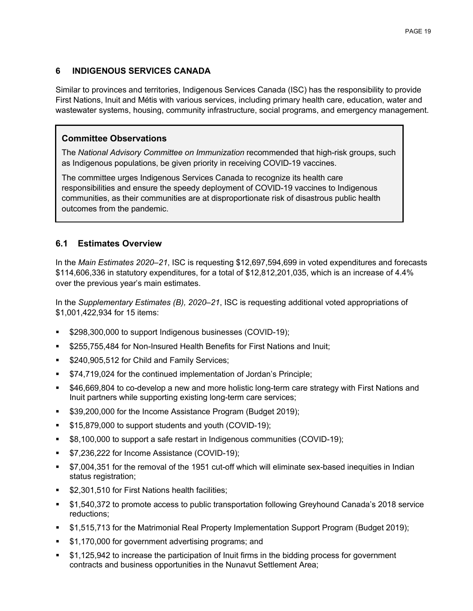## **6 INDIGENOUS SERVICES CANADA**

Similar to provinces and territories, Indigenous Services Canada (ISC) has the responsibility to provide First Nations, Inuit and Métis with various services, including primary health care, education, water and wastewater systems, housing, community infrastructure, social programs, and emergency management.

#### **Committee Observations**

The *National Advisory Committee on Immunization* recommended that high-risk groups, such as Indigenous populations, be given priority in receiving COVID-19 vaccines.

The committee urges Indigenous Services Canada to recognize its health care responsibilities and ensure the speedy deployment of COVID-19 vaccines to Indigenous communities, as their communities are at disproportionate risk of disastrous public health outcomes from the pandemic.

#### **6.1 Estimates Overview**

In the *Main Estimates 2020–21*, ISC is requesting \$12,697,594,699 in voted expenditures and forecasts \$114,606,336 in statutory expenditures, for a total of \$12,812,201,035, which is an increase of 4.4% over the previous year's main estimates.

In the *Supplementary Estimates (B), 2020–21*, ISC is requesting additional voted appropriations of \$1,001,422,934 for 15 items:

- \$298,300,000 to support Indigenous businesses (COVID-19);
- \$255,755,484 for Non-Insured Health Benefits for First Nations and Inuit;
- \$240,905,512 for Child and Family Services;
- **574,719,024 for the continued implementation of Jordan's Principle;**
- \$46,669,804 to co-develop a new and more holistic long-term care strategy with First Nations and Inuit partners while supporting existing long-term care services;
- \$39,200,000 for the Income Assistance Program (Budget 2019);
- **\$15,879,000 to support students and youth (COVID-19);**
- \$8,100,000 to support a safe restart in Indigenous communities (COVID-19);
- \$7,236,222 for Income Assistance (COVID-19);
- \$7,004,351 for the removal of the 1951 cut-off which will eliminate sex-based inequities in Indian status registration;
- \$2,301,510 for First Nations health facilities;
- \$1,540,372 to promote access to public transportation following Greyhound Canada's 2018 service reductions;
- \$1,515,713 for the Matrimonial Real Property Implementation Support Program (Budget 2019);
- \$1,170,000 for government advertising programs; and
- \$1,125,942 to increase the participation of Inuit firms in the bidding process for government contracts and business opportunities in the Nunavut Settlement Area;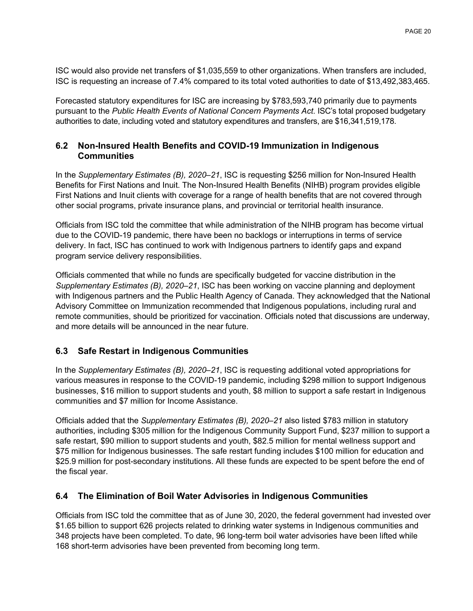ISC would also provide net transfers of \$1,035,559 to other organizations. When transfers are included, ISC is requesting an increase of 7.4% compared to its total voted authorities to date of \$13,492,383,465.

Forecasted statutory expenditures for ISC are increasing by \$783,593,740 primarily due to payments pursuant to the *Public Health Events of National Concern Payments Act*. ISC's total proposed budgetary authorities to date, including voted and statutory expenditures and transfers, are \$16,341,519,178.

### **6.2 Non-Insured Health Benefits and COVID-19 Immunization in Indigenous Communities**

In the *Supplementary Estimates (B), 2020–21*, ISC is requesting \$256 million for Non-Insured Health Benefits for First Nations and Inuit. The Non-Insured Health Benefits (NIHB) program provides eligible First Nations and Inuit clients with coverage for a range of health benefits that are not covered through other social programs, private insurance plans, and provincial or territorial health insurance.

Officials from ISC told the committee that while administration of the NIHB program has become virtual due to the COVID-19 pandemic, there have been no backlogs or interruptions in terms of service delivery. In fact, ISC has continued to work with Indigenous partners to identify gaps and expand program service delivery responsibilities.

Officials commented that while no funds are specifically budgeted for vaccine distribution in the *Supplementary Estimates (B), 2020–21*, ISC has been working on vaccine planning and deployment with Indigenous partners and the Public Health Agency of Canada. They acknowledged that the National Advisory Committee on Immunization recommended that Indigenous populations, including rural and remote communities, should be prioritized for vaccination. Officials noted that discussions are underway, and more details will be announced in the near future.

# **6.3 Safe Restart in Indigenous Communities**

In the *Supplementary Estimates (B), 2020–21*, ISC is requesting additional voted appropriations for various measures in response to the COVID-19 pandemic, including \$298 million to support Indigenous businesses, \$16 million to support students and youth, \$8 million to support a safe restart in Indigenous communities and \$7 million for Income Assistance.

Officials added that the *Supplementary Estimates (B), 2020–21* also listed \$783 million in statutory authorities, including \$305 million for the Indigenous Community Support Fund, \$237 million to support a safe restart, \$90 million to support students and youth, \$82.5 million for mental wellness support and \$75 million for Indigenous businesses. The safe restart funding includes \$100 million for education and \$25.9 million for post-secondary institutions. All these funds are expected to be spent before the end of the fiscal year.

#### **6.4 The Elimination of Boil Water Advisories in Indigenous Communities**

Officials from ISC told the committee that as of June 30, 2020, the federal government had invested over \$1.65 billion to support 626 projects related to drinking water systems in Indigenous communities and 348 projects have been completed. To date, 96 long-term boil water advisories have been lifted while 168 short-term advisories have been prevented from becoming long term.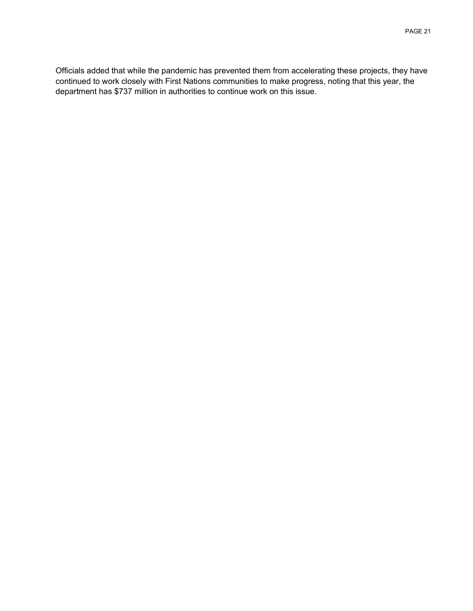<span id="page-21-0"></span>Officials added that while the pandemic has prevented them from accelerating these projects, they have continued to work closely with First Nations communities to make progress, noting that this year, the department has \$737 million in authorities to continue work on this issue.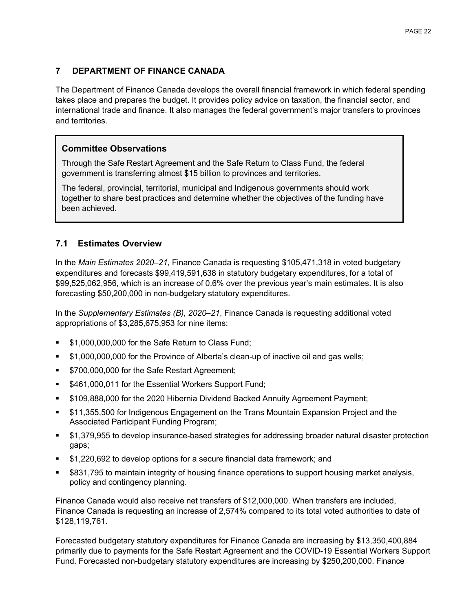### **7 DEPARTMENT OF FINANCE CANADA**

The Department of Finance Canada develops the overall financial framework in which federal spending takes place and prepares the budget. It provides policy advice on taxation, the financial sector, and international trade and finance. It also manages the federal government's major transfers to provinces and territories.

### **Committee Observations**

Through the Safe Restart Agreement and the Safe Return to Class Fund, the federal government is transferring almost \$15 billion to provinces and territories.

The federal, provincial, territorial, municipal and Indigenous governments should work together to share best practices and determine whether the objectives of the funding have been achieved.

### **7.1 Estimates Overview**

In the *Main Estimates 2020–21*, Finance Canada is requesting \$105,471,318 in voted budgetary expenditures and forecasts \$99,419,591,638 in statutory budgetary expenditures, for a total of \$99,525,062,956, which is an increase of 0.6% over the previous year's main estimates. It is also forecasting \$50,200,000 in non-budgetary statutory expenditures.

In the *Supplementary Estimates (B), 2020–21*, Finance Canada is requesting additional voted appropriations of \$3,285,675,953 for nine items:

- \$1,000,000,000 for the Safe Return to Class Fund;
- \$1,000,000,000 for the Province of Alberta's clean-up of inactive oil and gas wells;
- **S700,000,000 for the Safe Restart Agreement;**
- **5461,000,011 for the Essential Workers Support Fund;**
- \$109,888,000 for the 2020 Hibernia Dividend Backed Annuity Agreement Payment;
- \$11,355,500 for Indigenous Engagement on the Trans Mountain Expansion Project and the Associated Participant Funding Program;
- \$1,379,955 to develop insurance-based strategies for addressing broader natural disaster protection gaps;
- \$1,220,692 to develop options for a secure financial data framework; and
- \$831,795 to maintain integrity of housing finance operations to support housing market analysis, policy and contingency planning.

Finance Canada would also receive net transfers of \$12,000,000. When transfers are included, Finance Canada is requesting an increase of 2,574% compared to its total voted authorities to date of \$128,119,761.

Forecasted budgetary statutory expenditures for Finance Canada are increasing by \$13,350,400,884 primarily due to payments for the Safe Restart Agreement and the COVID-19 Essential Workers Support Fund. Forecasted non-budgetary statutory expenditures are increasing by \$250,200,000. Finance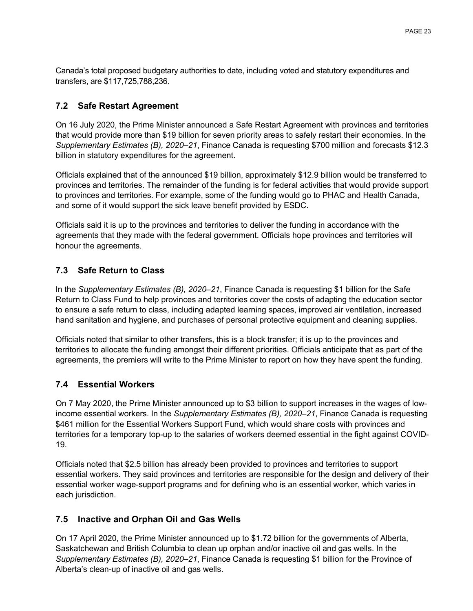Canada's total proposed budgetary authorities to date, including voted and statutory expenditures and transfers, are \$117,725,788,236.

### **7.2 Safe Restart Agreement**

On 16 July 2020, the Prime Minister announced a Safe Restart Agreement with provinces and territories that would provide more than \$19 billion for seven priority areas to safely restart their economies. In the *Supplementary Estimates (B), 2020–21*, Finance Canada is requesting \$700 million and forecasts \$12.3 billion in statutory expenditures for the agreement.

Officials explained that of the announced \$19 billion, approximately \$12.9 billion would be transferred to provinces and territories. The remainder of the funding is for federal activities that would provide support to provinces and territories. For example, some of the funding would go to PHAC and Health Canada, and some of it would support the sick leave benefit provided by ESDC.

Officials said it is up to the provinces and territories to deliver the funding in accordance with the agreements that they made with the federal government. Officials hope provinces and territories will honour the agreements.

# **7.3 Safe Return to Class**

In the *Supplementary Estimates (B), 2020–21*, Finance Canada is requesting \$1 billion for the Safe Return to Class Fund to help provinces and territories cover the costs of adapting the education sector to ensure a safe return to class, including adapted learning spaces, improved air ventilation, increased hand sanitation and hygiene, and purchases of personal protective equipment and cleaning supplies.

Officials noted that similar to other transfers, this is a block transfer; it is up to the provinces and territories to allocate the funding amongst their different priorities. Officials anticipate that as part of the agreements, the premiers will write to the Prime Minister to report on how they have spent the funding.

# **7.4 Essential Workers**

On 7 May 2020, the Prime Minister announced up to \$3 billion to support increases in the wages of lowincome essential workers. In the *Supplementary Estimates (B), 2020–21*, Finance Canada is requesting \$461 million for the Essential Workers Support Fund, which would share costs with provinces and territories for a temporary top-up to the salaries of workers deemed essential in the fight against COVID-19.

Officials noted that \$2.5 billion has already been provided to provinces and territories to support essential workers. They said provinces and territories are responsible for the design and delivery of their essential worker wage-support programs and for defining who is an essential worker, which varies in each jurisdiction.

#### **7.5 Inactive and Orphan Oil and Gas Wells**

On 17 April 2020, the Prime Minister announced up to \$1.72 billion for the governments of Alberta, Saskatchewan and British Columbia to clean up orphan and/or inactive oil and gas wells. In the *Supplementary Estimates (B), 2020–21*, Finance Canada is requesting \$1 billion for the Province of Alberta's clean-up of inactive oil and gas wells.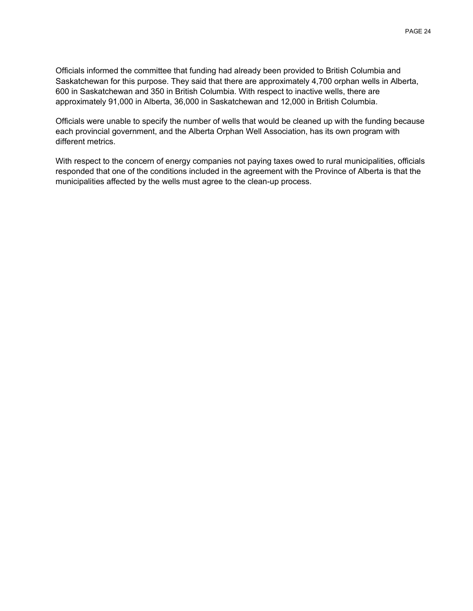Officials informed the committee that funding had already been provided to British Columbia and Saskatchewan for this purpose. They said that there are approximately 4,700 orphan wells in Alberta, 600 in Saskatchewan and 350 in British Columbia. With respect to inactive wells, there are approximately 91,000 in Alberta, 36,000 in Saskatchewan and 12,000 in British Columbia.

Officials were unable to specify the number of wells that would be cleaned up with the funding because each provincial government, and the Alberta Orphan Well Association, has its own program with different metrics.

<span id="page-24-0"></span>With respect to the concern of energy companies not paying taxes owed to rural municipalities, officials responded that one of the conditions included in the agreement with the Province of Alberta is that the municipalities affected by the wells must agree to the clean-up process.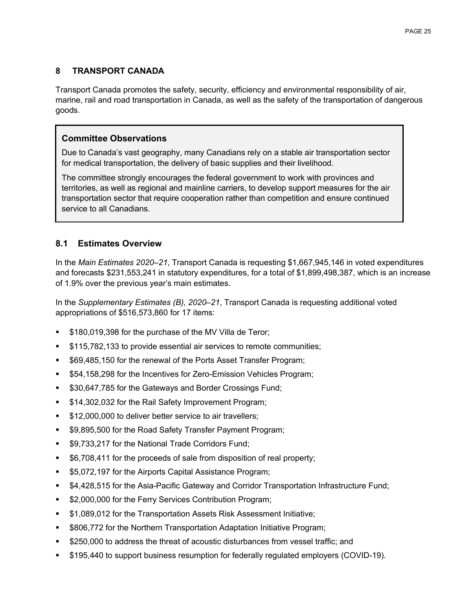## **8 TRANSPORT CANADA**

Transport Canada promotes the safety, security, efficiency and environmental responsibility of air, marine, rail and road transportation in Canada, as well as the safety of the transportation of dangerous goods.

### **Committee Observations**

Due to Canada's vast geography, many Canadians rely on a stable air transportation sector for medical transportation, the delivery of basic supplies and their livelihood.

The committee strongly encourages the federal government to work with provinces and territories, as well as regional and mainline carriers, to develop support measures for the air transportation sector that require cooperation rather than competition and ensure continued service to all Canadians.

### **8.1 Estimates Overview**

In the *Main Estimates 2020–21*, Transport Canada is requesting \$1,667,945,146 in voted expenditures and forecasts \$231,553,241 in statutory expenditures, for a total of \$1,899,498,387, which is an increase of 1.9% over the previous year's main estimates.

In the *Supplementary Estimates (B), 2020–21*, Transport Canada is requesting additional voted appropriations of \$516,573,860 for 17 items:

- \$180,019,398 for the purchase of the MV Villa de Teror;
- \$115,782,133 to provide essential air services to remote communities;
- \$69,485,150 for the renewal of the Ports Asset Transfer Program;
- \$54,158,298 for the Incentives for Zero-Emission Vehicles Program;
- \$30,647,785 for the Gateways and Border Crossings Fund;
- **514,302,032 for the Rail Safety Improvement Program;**
- **\$12,000,000 to deliver better service to air travellers;**
- \$9,895,500 for the Road Safety Transfer Payment Program;
- **SP.733,217 for the National Trade Corridors Fund;**
- **56,708,411 for the proceeds of sale from disposition of real property;**
- **55,072,197 for the Airports Capital Assistance Program;**
- \$4,428,515 for the Asia-Pacific Gateway and Corridor Transportation Infrastructure Fund;
- **52,000,000 for the Ferry Services Contribution Program;**
- **51,089,012 for the Transportation Assets Risk Assessment Initiative;**
- \$806,772 for the Northern Transportation Adaptation Initiative Program;
- \$250,000 to address the threat of acoustic disturbances from vessel traffic; and
- \$195,440 to support business resumption for federally regulated employers (COVID-19).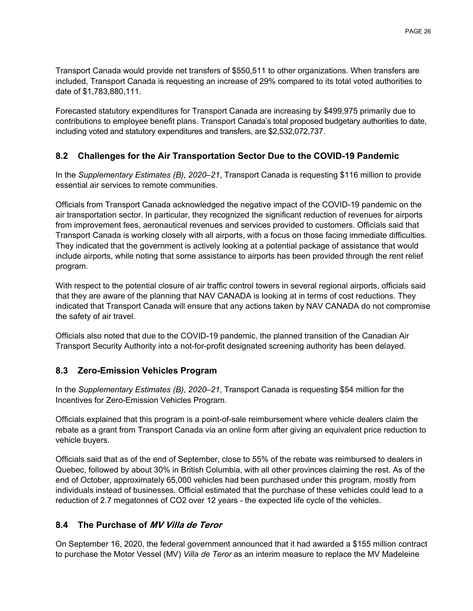Transport Canada would provide net transfers of \$550,511 to other organizations. When transfers are included, Transport Canada is requesting an increase of 29% compared to its total voted authorities to date of \$1,783,880,111.

Forecasted statutory expenditures for Transport Canada are increasing by \$499,975 primarily due to contributions to employee benefit plans. Transport Canada's total proposed budgetary authorities to date, including voted and statutory expenditures and transfers, are \$2,532,072,737.

## **8.2 Challenges for the Air Transportation Sector Due to the COVID-19 Pandemic**

In the *Supplementary Estimates (B), 2020–21*, Transport Canada is requesting \$116 million to provide essential air services to remote communities.

Officials from Transport Canada acknowledged the negative impact of the COVID-19 pandemic on the air transportation sector. In particular, they recognized the significant reduction of revenues for airports from improvement fees, aeronautical revenues and services provided to customers. Officials said that Transport Canada is working closely with all airports, with a focus on those facing immediate difficulties. They indicated that the government is actively looking at a potential package of assistance that would include airports, while noting that some assistance to airports has been provided through the rent relief program.

With respect to the potential closure of air traffic control towers in several regional airports, officials said that they are aware of the planning that NAV CANADA is looking at in terms of cost reductions. They indicated that Transport Canada will ensure that any actions taken by NAV CANADA do not compromise the safety of air travel.

Officials also noted that due to the COVID-19 pandemic, the planned transition of the Canadian Air Transport Security Authority into a not-for-profit designated screening authority has been delayed.

#### **8.3 Zero-Emission Vehicles Program**

In the *Supplementary Estimates (B), 2020–21*, Transport Canada is requesting \$54 million for the Incentives for Zero-Emission Vehicles Program.

Officials explained that this program is a point-of-sale reimbursement where vehicle dealers claim the rebate as a grant from Transport Canada via an online form after giving an equivalent price reduction to vehicle buyers.

Officials said that as of the end of September, close to 55% of the rebate was reimbursed to dealers in Quebec, followed by about 30% in British Columbia, with all other provinces claiming the rest. As of the end of October, approximately 65,000 vehicles had been purchased under this program, mostly from individuals instead of businesses. Official estimated that the purchase of these vehicles could lead to a reduction of 2.7 megatonnes of CO2 over 12 years - the expected life cycle of the vehicles.

#### **8.4 The Purchase of MV Villa de Teror**

On September 16, 2020, the federal government announced that it had awarded a \$155 million contract to purchase the Motor Vessel (MV) *Villa de Teror* as an interim measure to replace the MV Madeleine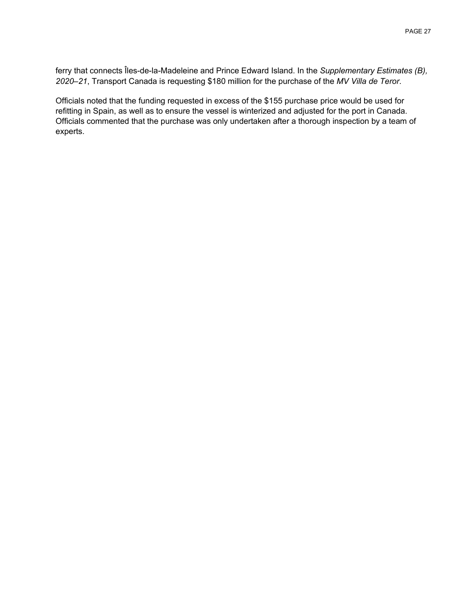ferry that connects Îles-de-la-Madeleine and Prince Edward Island. In the *Supplementary Estimates (B), 2020–21*, Transport Canada is requesting \$180 million for the purchase of the *MV Villa de Teror*.

<span id="page-27-0"></span>Officials noted that the funding requested in excess of the \$155 purchase price would be used for refitting in Spain, as well as to ensure the vessel is winterized and adjusted for the port in Canada. Officials commented that the purchase was only undertaken after a thorough inspection by a team of experts.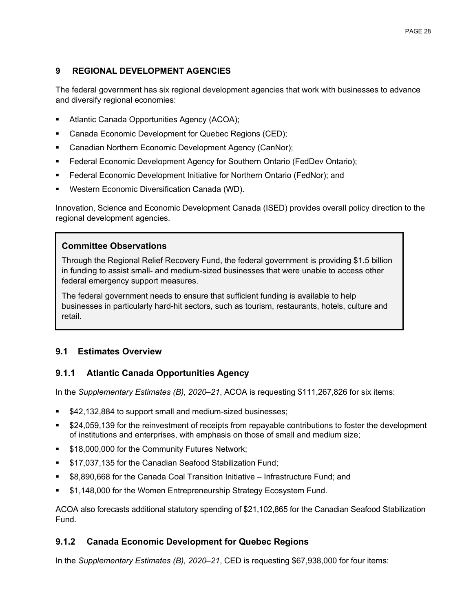### **9 REGIONAL DEVELOPMENT AGENCIES**

The federal government has six regional development agencies that work with businesses to advance and diversify regional economies:

- Atlantic Canada Opportunities Agency (ACOA);
- **Canada Economic Development for Quebec Regions (CED);**
- **Canadian Northern Economic Development Agency (CanNor);**
- Federal Economic Development Agency for Southern Ontario (FedDev Ontario);
- Federal Economic Development Initiative for Northern Ontario (FedNor); and
- Western Economic Diversification Canada (WD).

Innovation, Science and Economic Development Canada (ISED) provides overall policy direction to the regional development agencies.

#### **Committee Observations**

Through the Regional Relief Recovery Fund, the federal government is providing \$1.5 billion in funding to assist small- and medium-sized businesses that were unable to access other federal emergency support measures.

The federal government needs to ensure that sufficient funding is available to help businesses in particularly hard-hit sectors, such as tourism, restaurants, hotels, culture and retail.

#### **9.1 Estimates Overview**

#### **9.1.1 Atlantic Canada Opportunities Agency**

In the *Supplementary Estimates (B), 2020–21*, ACOA is requesting \$111,267,826 for six items:

- \$42,132,884 to support small and medium-sized businesses;
- \$24,059,139 for the reinvestment of receipts from repayable contributions to foster the development of institutions and enterprises, with emphasis on those of small and medium size;
- \$18,000,000 for the Community Futures Network;
- \$17,037,135 for the Canadian Seafood Stabilization Fund;
- \$8,890,668 for the Canada Coal Transition Initiative Infrastructure Fund; and
- \$1,148,000 for the Women Entrepreneurship Strategy Ecosystem Fund.

ACOA also forecasts additional statutory spending of \$21,102,865 for the Canadian Seafood Stabilization Fund.

#### **9.1.2 Canada Economic Development for Quebec Regions**

In the *Supplementary Estimates (B), 2020–21*, CED is requesting \$67,938,000 for four items: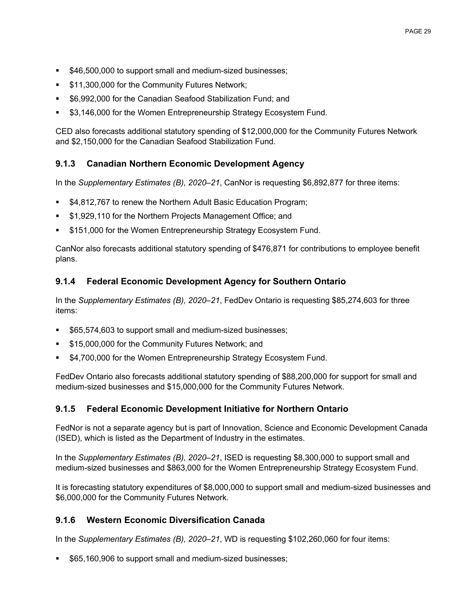- **546,500,000 to support small and medium-sized businesses;**
- **511,300,000 for the Community Futures Network;**
- \$6,992,000 for the Canadian Seafood Stabilization Fund; and
- \$3,146,000 for the Women Entrepreneurship Strategy Ecosystem Fund.

CED also forecasts additional statutory spending of \$12,000,000 for the Community Futures Network and \$2,150,000 for the Canadian Seafood Stabilization Fund.

### **9.1.3 Canadian Northern Economic Development Agency**

In the *Supplementary Estimates (B), 2020–21*, CanNor is requesting \$6,892,877 for three items:

- \$4,812,767 to renew the Northern Adult Basic Education Program;
- \$1,929,110 for the Northern Projects Management Office; and
- \$151,000 for the Women Entrepreneurship Strategy Ecosystem Fund.

CanNor also forecasts additional statutory spending of \$476,871 for contributions to employee benefit plans.

### **9.1.4 Federal Economic Development Agency for Southern Ontario**

In the *Supplementary Estimates (B), 2020–21*, FedDev Ontario is requesting \$85,274,603 for three items:

- \$65,574,603 to support small and medium-sized businesses;
- \$15,000,000 for the Community Futures Network; and
- \$4,700,000 for the Women Entrepreneurship Strategy Ecosystem Fund.

FedDev Ontario also forecasts additional statutory spending of \$88,200,000 for support for small and medium-sized businesses and \$15,000,000 for the Community Futures Network.

#### **9.1.5 Federal Economic Development Initiative for Northern Ontario**

FedNor is not a separate agency but is part of Innovation, Science and Economic Development Canada (ISED), which is listed as the Department of Industry in the estimates.

In the *Supplementary Estimates (B), 2020–21*, ISED is requesting \$8,300,000 to support small and medium-sized businesses and \$863,000 for the Women Entrepreneurship Strategy Ecosystem Fund.

It is forecasting statutory expenditures of \$8,000,000 to support small and medium-sized businesses and \$6,000,000 for the Community Futures Network.

# **9.1.6 Western Economic Diversification Canada**

In the *Supplementary Estimates (B), 2020–21*, WD is requesting \$102,260,060 for four items:

\$65,160,906 to support small and medium-sized businesses;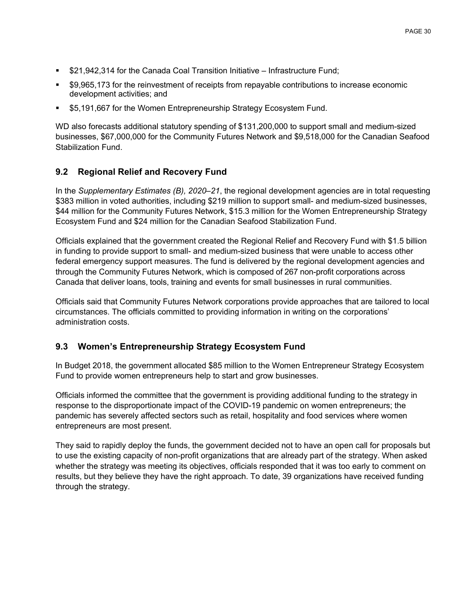- **521,942,314 for the Canada Coal Transition Initiative Infrastructure Fund;**
- \$9,965,173 for the reinvestment of receipts from repayable contributions to increase economic development activities; and
- \$5,191,667 for the Women Entrepreneurship Strategy Ecosystem Fund.

WD also forecasts additional statutory spending of \$131,200,000 to support small and medium-sized businesses, \$67,000,000 for the Community Futures Network and \$9,518,000 for the Canadian Seafood Stabilization Fund.

### **9.2 Regional Relief and Recovery Fund**

In the *Supplementary Estimates (B), 2020–21*, the regional development agencies are in total requesting \$383 million in voted authorities, including \$219 million to support small- and medium-sized businesses, \$44 million for the Community Futures Network, \$15.3 million for the Women Entrepreneurship Strategy Ecosystem Fund and \$24 million for the Canadian Seafood Stabilization Fund.

Officials explained that the government created the Regional Relief and Recovery Fund with \$1.5 billion in funding to provide support to small- and medium-sized business that were unable to access other federal emergency support measures. The fund is delivered by the regional development agencies and through the Community Futures Network, which is composed of 267 non-profit corporations across Canada that deliver loans, tools, training and events for small businesses in rural communities.

Officials said that Community Futures Network corporations provide approaches that are tailored to local circumstances. The officials committed to providing information in writing on the corporations' administration costs.

# **9.3 Women's Entrepreneurship Strategy Ecosystem Fund**

In Budget 2018, the government allocated \$85 million to the Women Entrepreneur Strategy Ecosystem Fund to provide women entrepreneurs help to start and grow businesses.

Officials informed the committee that the government is providing additional funding to the strategy in response to the disproportionate impact of the COVID-19 pandemic on women entrepreneurs; the pandemic has severely affected sectors such as retail, hospitality and food services where women entrepreneurs are most present.

They said to rapidly deploy the funds, the government decided not to have an open call for proposals but to use the existing capacity of non-profit organizations that are already part of the strategy. When asked whether the strategy was meeting its objectives, officials responded that it was too early to comment on results, but they believe they have the right approach. To date, 39 organizations have received funding through the strategy.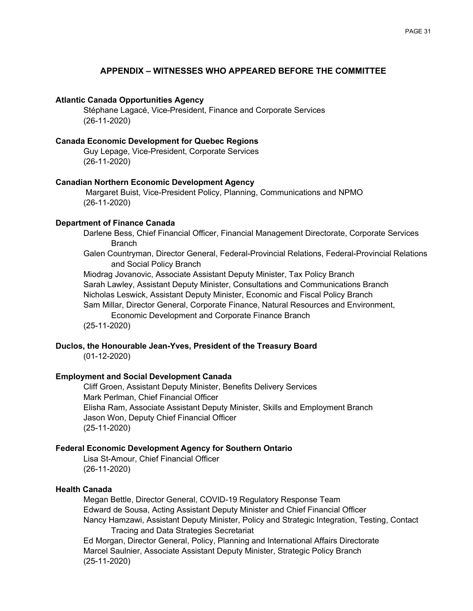#### **APPENDIX – WITNESSES WHO APPEARED BEFORE THE COMMITTEE**

#### <span id="page-31-0"></span>**Atlantic Canada Opportunities Agency**

Stéphane Lagacé, Vice-President, Finance and Corporate Services (26-11-2020)

#### **Canada Economic Development for Quebec Regions**

Guy Lepage, Vice-President, Corporate Services (26-11-2020)

#### **Canadian Northern Economic Development Agency**

Margaret Buist, Vice-President Policy, Planning, Communications and NPMO (26-11-2020)

#### **Department of Finance Canada**

Darlene Bess, Chief Financial Officer, Financial Management Directorate, Corporate Services **Branch** 

Galen Countryman, Director General, Federal-Provincial Relations, Federal-Provincial Relations and Social Policy Branch

Miodrag Jovanovic, Associate Assistant Deputy Minister, Tax Policy Branch Sarah Lawley, Assistant Deputy Minister, Consultations and Communications Branch Nicholas Leswick, Assistant Deputy Minister, Economic and Fiscal Policy Branch Sam Millar, Director General, Corporate Finance, Natural Resources and Environment, Economic Development and Corporate Finance Branch (25-11-2020)

#### **Duclos, the Honourable Jean-Yves, President of the Treasury Board**

(01-12-2020)

#### **Employment and Social Development Canada**

Cliff Groen, Assistant Deputy Minister, Benefits Delivery Services Mark Perlman, Chief Financial Officer Elisha Ram, Associate Assistant Deputy Minister, Skills and Employment Branch Jason Won, Deputy Chief Financial Officer (25-11-2020)

#### **Federal Economic Development Agency for Southern Ontario**

Lisa St-Amour, Chief Financial Officer (26-11-2020)

#### **Health Canada**

Megan Bettle, Director General, COVID-19 Regulatory Response Team Edward de Sousa, Acting Assistant Deputy Minister and Chief Financial Officer Nancy Hamzawi, Assistant Deputy Minister, Policy and Strategic Integration, Testing, Contact Tracing and Data Strategies Secretariat

Ed Morgan, Director General, Policy, Planning and International Affairs Directorate Marcel Saulnier, Associate Assistant Deputy Minister, Strategic Policy Branch (25-11-2020)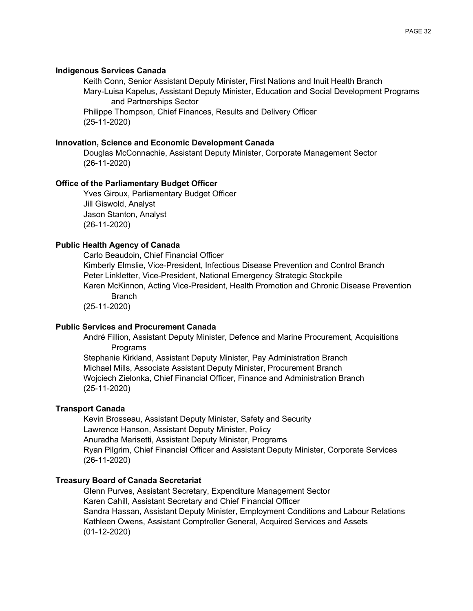#### **Indigenous Services Canada**

Keith Conn, Senior Assistant Deputy Minister, First Nations and Inuit Health Branch Mary-Luisa Kapelus, Assistant Deputy Minister, Education and Social Development Programs and Partnerships Sector Philippe Thompson, Chief Finances, Results and Delivery Officer

(25-11-2020)

#### **Innovation, Science and Economic Development Canada**

Douglas McConnachie, Assistant Deputy Minister, Corporate Management Sector (26-11-2020)

#### **Office of the Parliamentary Budget Officer**

Yves Giroux, Parliamentary Budget Officer Jill Giswold, Analyst Jason Stanton, Analyst (26-11-2020)

#### **Public Health Agency of Canada**

Carlo Beaudoin, Chief Financial Officer Kimberly Elmslie, Vice-President, Infectious Disease Prevention and Control Branch Peter Linkletter, Vice-President, National Emergency Strategic Stockpile Karen McKinnon, Acting Vice-President, Health Promotion and Chronic Disease Prevention **Branch** (25-11-2020)

#### **Public Services and Procurement Canada**

André Fillion, Assistant Deputy Minister, Defence and Marine Procurement, Acquisitions Programs

Stephanie Kirkland, Assistant Deputy Minister, Pay Administration Branch Michael Mills, Associate Assistant Deputy Minister, Procurement Branch Wojciech Zielonka, Chief Financial Officer, Finance and Administration Branch (25-11-2020)

#### **Transport Canada**

Kevin Brosseau, Assistant Deputy Minister, Safety and Security Lawrence Hanson, Assistant Deputy Minister, Policy Anuradha Marisetti, Assistant Deputy Minister, Programs Ryan Pilgrim, Chief Financial Officer and Assistant Deputy Minister, Corporate Services (26-11-2020)

#### **Treasury Board of Canada Secretariat**

Glenn Purves, Assistant Secretary, Expenditure Management Sector Karen Cahill, Assistant Secretary and Chief Financial Officer Sandra Hassan, Assistant Deputy Minister, Employment Conditions and Labour Relations Kathleen Owens, Assistant Comptroller General, Acquired Services and Assets (01-12-2020)